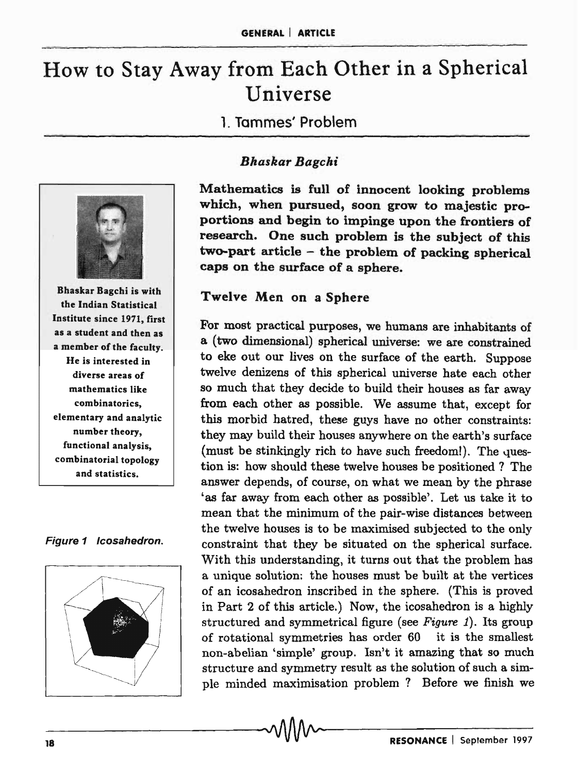# How to Stay Away from Each Other in a Spherical Universe

1. Tammes' Problem



Bhaskar Bagchi is with the Indian Statistical Institute since 1971, first as a student and then as a member of the faculty. He is interested in diverse areas of mathematics like combinatorics, elementary and analytic number theory, functional analysis, combinatorial topology and statistics.

Figure 1 Icosahedron.



## *Bhaskar Bagchi*

Mathematics is full of innocent looking problems which, when pursued, soon grow to majestic proportions and begin to impinge upon the frontiers of research. One such problem is the subject of this two-part article - the problem of packing spherical caps on the surface of a sphere.

# Twelve Men on a Sphere

For most practical purposes, we humans are inhabitants of a (two dimensional) spherical universe: we are constrained to eke out our lives on the surface of the earth. Suppose twelve denizens of this spherical universe hate each other so much that they decide to build their houses as far away from each other as possible. We assume that, except for this morbid hatred, these guys have no other constraints: they may build their houses anywhere on the earth's surface (must be stinkingly rich to have such freedom!). The question is: how should these twelve houses be positioned ? The answer depends, of course, on what we mean by the phrase 'as far away from each other as possible'. Let us take it to mean that the minimum of the pair-wise distances between the twelve houses is to be maximised subjected to the only constraint that they be situated on the spherical surface. With this understanding, it turns out that the problem has a unique solution: the houses must be built at the vertices of an icosahedron inscribed in the sphere. (This is proved in Part 2 of this article.) Now, the icosahedron is a highly structured and symmetrical figure (see *Figure* 1). Its group of rotational symmetries has order 60 it is the smallest non-abelian 'simple' group. Isn't it amazing that so much structure and symmetry result as the solution of such a simple minded maximisation problem? Before we finish we<br>  $\blacksquare$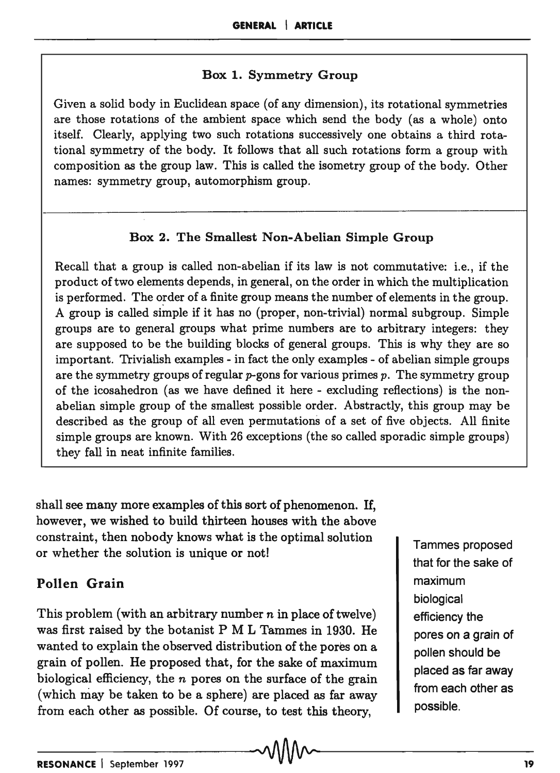#### Box 1. Symmetry Group

Given a solid body in Euclidean space (of any dimension), its rotational symmetries are those rotations of the ambient space which send the body (as a whole) onto itself. Clearly, applying two such rotations successively one obtains a third rotational symmetry of the body. It follows that all such rotations form a group with composition as the group law. This is called the isometry group of the body. Other names: symmetry group, automorphism group.

## Box 2. The Smallest Non-Abelian Simple Group

Recall that a group is called non-abelian if its law is not commutative: i.e., if the product of two elements depends, in general, on the order in which the multiplication is performed. The order of a finite group means the number of elements in the group. A group is called siinple if it has no (proper, non-trivial) normal subgroup. Simple groups are to general groups what prime numbers are to arbitrary integers: they are supposed to be the building blocks of general groups. This is why they are so important. Thivialish examples - in fact the only examples - of abelian simple groups are the symmetry groups of regular  $p$ -gons for various primes  $p$ . The symmetry group of the icosahedron (as we have defined it here - excluding reflections) is the nonabelian simple group of the smallest possible order. Abstractly, this group may be described as the group of all even permutations of a set of five objects. All finite simple groups are known. With 26 exceptions (the so called sporadic simple groups) they fall in neat infinite families.

shall see many more examples of this sort of phenomenon. If, however, we wished to build thirteen houses with the above constraint, then nobody knows what is the optimal solution or whether the solution is unique or not!

# Pollen Grain

This problem (with an arbitrary number  $n$  in place of twelve) was first raised by the botanist P M L Tammes in 1930. He wanted to explain the observed distribution of the pores on a grain of pollen. He proposed that, for the sake of maximum biological efficiency, the *n* pores on the surface of the grain (which may be taken to be a sphere) are placed as far away from each other as possible. Of course, to test this theory,

Tammes proposed that for the sake of maximum biological efficiency the pores on a grain of pollen should be placed as far away from each other as possible.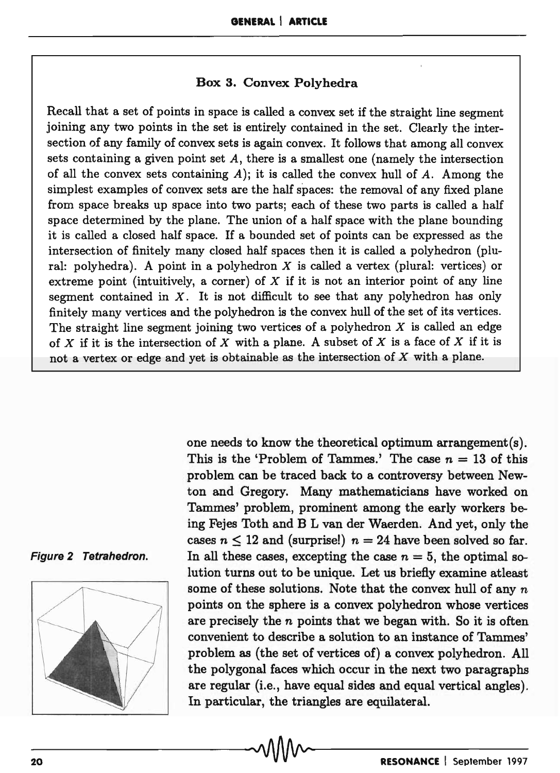#### Box 3. Convex Polyhedra

Recall that a set of points in space is called a convex set if the straight line segment joining any two points in the set is entirely contained in the set. Clearly the intersection of any family of convex sets is again convex. It follows that among all convex sets containing a given point set  $A$ , there is a smallest one (namely the intersection of all the convex sets containing  $A$ ); it is called the convex hull of  $A$ . Among the simplest examples of convex sets are the half spaces: the removal of any fixed plane from space breaks up space into two parts; each of these two parts is called a half space determined by the plane. The union of a half space with the plane bounding it is called a closed half space. If a bounded set of points can be expressed as the intersection of finitely many closed half spaces then it is called a polyhedron (plural: polyhedra). A point in a polyhedron *X* is called a vertex (plural: vertices) or extreme point (intuitively, a corner) of  $X$  if it is not an interior point of any line segment contained in  $X$ . It is not difficult to see that any polyhedron has only finitely many vertices and the polyhedron is the convex hull of the set of its vertices. The straight line segment joining two vertices of a polyhedron  $X$  is called an edge of *X* if it is the intersection of *X* with a plane. A subset of X is a face of *X* if it is not a vertex or edge and yet is obtainable as the intersection of  $X$  with a plane.





one needs to know the theoretical optimum arrangement(s). This is the 'Problem of Tammes.' The case  $n = 13$  of this problem can be traced back to a controversy between Newton and Gregory. Many mathematicians have worked on Tammes' problem, prominent among the early workers being Fejes Toth and B L van der Waerden. And yet, only the cases  $n \leq 12$  and (surprise!)  $n = 24$  have been solved so far. In all these cases, excepting the case  $n = 5$ , the optimal solution turns out to be unique. Let us briefly examine at least some of these solutions. Note that the convex hull of any  $n$ points on the sphere is a convex polyhedron whose vertices are precisely the  $n$  points that we began with. So it is often convenient to describe a solution to an instance of Tammes' problem as (the set of vertices of) a convex polyhedron. All the polygonal faces which occur in the next two paragraphs are regular (i.e., have equal sides and equal vertical angles). In particular, the triangles are equilateral.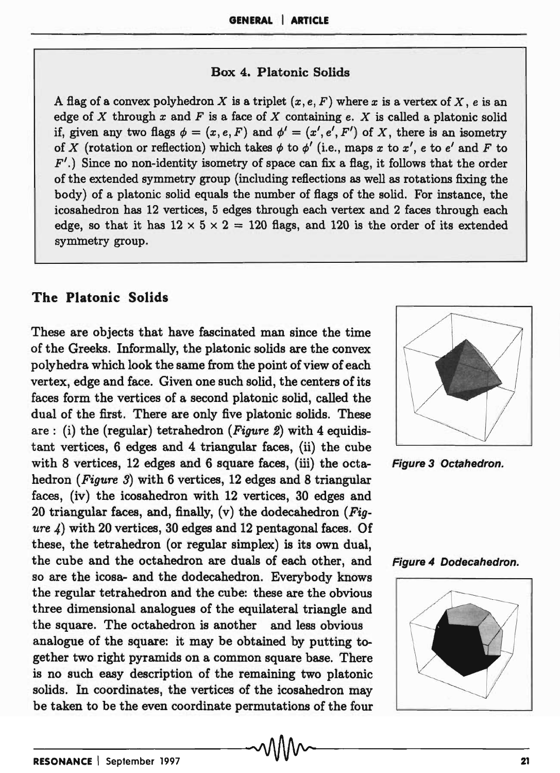#### Box 4. Platonic Solids

A flag of a convex polyhedron X is a triplet  $(x, e, F)$  where x is a vertex of X, e is an edge of X through  $x$  and  $F$  is a face of X containing  $e$ . X is called a platonic solid if, given any two flags  $\phi = (x, e, F)$  and  $\phi' = (x', e', F')$  of X, there is an isometry of X (rotation or reflection) which takes  $\phi$  to  $\phi'$  (i.e., maps x to x', e to e' and F to  $F'$ .) Since no non-identity isometry of space can fix a flag, it follows that the order of the extended symmetry group (including reflections as well as rotations fixing the body) of a platonic solid equals the number of flags of the solid. For instance, the icosahedron has 12 vertices, 5 edges through each vertex and 2 faces through each edge, so that it has  $12 \times 5 \times 2 = 120$  flags, and 120 is the order of its extended symmetry group.

### The Platonic Solids

These are objects that have fascinated man since the time of the Greeks. Informally, the platonic solids are the convex polyhedra which look the same from the point of view of each vertex, edge and face. Given one such solid, the centers of its faces form the vertices of a second platonic solid, called the dual of the first. There are only five platonic solids. These are: (i) the (regular) tetrahedron *(Figure* 2) with 4 equidistant vertices, 6 edges and 4 triangular faces, (ii) the cube with 8 vertices, 12 edges and 6 square faces, (iii) the octa- Figure 3 Octahedron. hedron *(Figure* 3) with 6 vertices, 12 edges and 8 triangular faces, (iv) the icosahedron with 12 vertices, 30 edges and 20 triangular faces, and, finally, (v) the dodecahedron *(Figure* 4) with 20 vertices, 30 edges and 12 pentagonal faces. Of these, the tetrahedron (or regular simplex) is its own dual, the cube and the octahedron are duals of each other, and Figure 4 Dodecahedron. so are the icosa- and the dodecahedron. Everybody knows the regular tetrahedron and the cube: these are the obvious three dimensional analogues of the equilateral triangle and the square. The octahedron is another and less obvious analogue of the square: it may be obtained by putting together two right pyramids on a common square base. There is no such easy description of the remaining two platonic solids. In coordinates, the vertices of the icosahedron may be taken to be the even coordinate permutations of the four





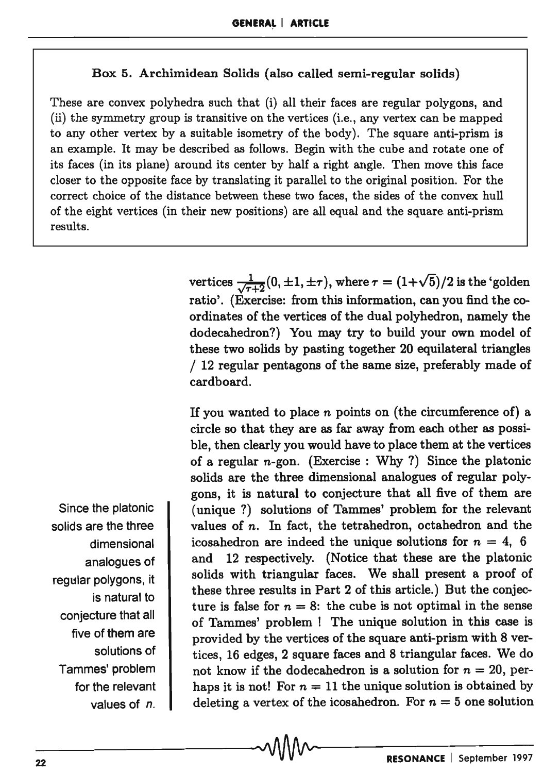#### Box 5. Archimidean Solids (also called semi-regular solids)

These are convex polyhedra such that (i) all their faces are regular polygons, and (ii) the symmetry group is transitive on the vertices (i.e., any vertex can be mapped to any other vertex by a suitable isometry of the body). The square anti-prism is an example. It may be described as follows. Begin with the cube and rotate one of its faces (in its plane) around its center by half a right angle. Then move this face closer to the opposite face by translating it parallel to the original position. For the correct choice of the distance between these two faces, the sides of the convex hull of the eight vertices (in their new positions) are all equal and the square. anti-prism results.

> vertices  $\frac{1}{\sqrt{\tau+2}}(0,\pm 1,\pm \tau)$ , where  $\tau = (1+\sqrt{5})/2$  is the 'golden ratio'. (Exercise: from this information, can you find the coordinates of the vertices of the dual polyhedron, namely the dodecahedron?) You may try to build your own model of these two solids by pasting together 20 equilateral triangles / 12 regular pentagons of the same size, preferably made of cardboard.

> If you wanted to place *n* points on (the circumference of) a circle so that they are as far away from each other as possible, then clearly you would have to place them at the vertices of a regular  $n$ -gon. (Exercise: Why?) Since the platonic solids are the three dimensional analogues of regular polygons, it is natural to conjecture that all five of them are (unique?) solutions of Tammes' problem for the relevant values of *n.* In fact, the tetrahedron, octahedron and the icosahedron are indeed the unique solutions for  $n = 4$ , 6 and 12 respectively. (Notice that these are the platonic solids with triangular faces. We shall present a proof of these three results in Part 2 of this article.) But the conjecture is false for  $n = 8$ : the cube is not optimal in the sense of Tammes' problem! The unique solution in this case is provided by the vertices of the square anti-prism with 8 vertices, 16 edges, 2 square faces and 8 triangular faces. We do not know if the dodecahedron is a solution for  $n = 20$ , perhaps it is not! For  $n = 11$  the unique solution is obtained by deleting a vertex of the icosahedron. For  $n = 5$  one solution

Since the platonic solids are the three dimensional analogues of regular polygons, it is natural to conjecture that all five of them are solutions of Tammes' problem for the relevant values of n.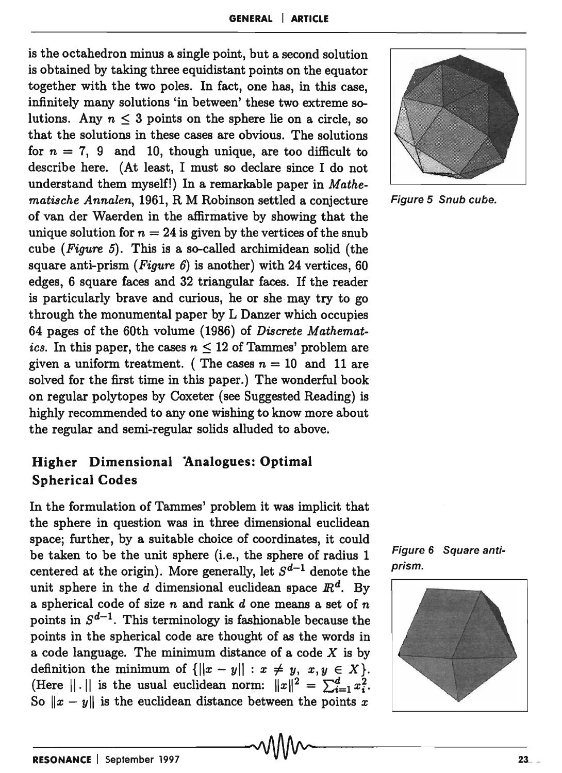is the octahedron minus a single point, but a second solution is obtained by taking three equidistant points on the equator together with the two poles. In fact, one has, in this case, infinitely many solutions 'in between' these two extreme solutions. Any  $n \leq 3$  points on the sphere lie on a circle, so that the solutions in these cases are obvious. The solutions for  $n = 7$ , 9 and 10, though unique, are too difficult to describe here. (At least, I must so declare since I do not understand them myself!) In a remarkable paper in *Mathematische Annalen,* 1961, R M Robinson settled a conjecture Figure 5 Snub cube. of van der Waerden in the affirmative by showing that the unique solution for  $n = 24$  is given by the vertices of the snub cube *(Figure* 5). This is a so-called archimidean solid (the square anti-prism *(Figure* 6) is another) with 24 vertices, 60 edges, 6 square faces and 32 triangular faces. If the reader is particularly brave and curious, he or she may try to go through the monumental paper by L Danzer which occupies 64 pages of the 60th volume (1986) of *Discrete Mathematics.* In this paper, the cases  $n \leq 12$  of Tammes' problem are given a uniform treatment. (The cases  $n = 10$  and 11 are solved for the first time in this paper.) The wonderful book on regular polytopes by Coxeter (see Suggested Reading) is highly recommended to anyone wishing to know more about the regular and semi-regular solids alluded to above.

# Higher Dimensional Analogues: Optimal Spherical Codes

In the formulation of Tammes' problem it was implicit that the sphere in question was in three dimensional euclidean space; further, by a suitable choice of coordinates, it could be taken to be the unit sphere (i.e., the sphere of radius 1 Figure 6 Square anti-<br>expressed at the spirits). More arguments let  $G^{d-1}$  denote the prism. centered at the origin). More generally, let  $S^{d-1}$  denote the unit sphere in the d dimensional euclidean space  $\mathbb{R}^d$ . By a spherical code of size *n* and rank d one means a set of *n*  points in  $S^{d-1}$ . This terminology is fashionable because the points in the spherical code are thought of as the words in a code language. The minimum distance of a code  $X$  is by definition the minimum of  $\{|x - y| : x \neq y, x, y \in X\}.$ (Here  $||\cdot||$  is the usual euclidean norm:  $||x||^2 = \sum_{i=1}^d x_i^2$ . So  $||x - y||$  is the euclidean distance between the points *x* 





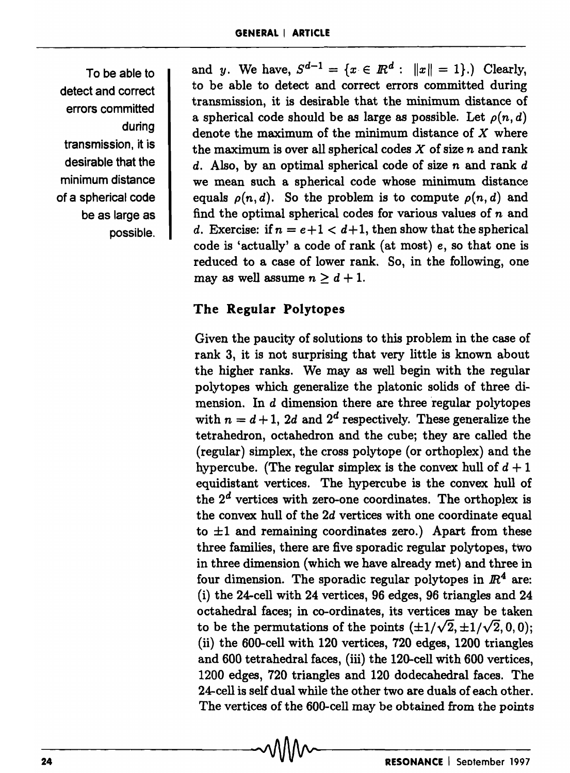To be able to detect and correct errors committed during transmission, it is desirable that the minimum distance of a spherical code be as large as possible. and y. We have,  $S^{d-1} = \{x \in \mathbb{R}^d : ||x|| = 1\}$ .) Clearly, to be able to detect and correct errors committed during transmission, it is desirable that the minimum distance of a spherical code should be as large as possible. Let  $\rho(n, d)$ denote the maximum of the minimum distance of  $X$  where the maximum is over all spherical codes  $X$  of size  $n$  and rank  $d.$  Also, by an optimal spherical code of size  $n$  and rank  $d$ we mean such a spherical code whose minimum distance equals  $\rho(n, d)$ . So the problem is to compute  $\rho(n, d)$  and find the optimal spherical codes for various values of  $n$  and *d.* Exercise: if  $n = e+1 < d+1$ , then show that the spherical code is 'actually' a code of rank (at most) *e,* so that one is reduced to a case of lower rank. So, in the following, one may as well assume  $n \geq d+1$ .

# The Regular Polytopes

Given the paucity of solutions to this problem in the case of rank 3, it is not surprising that very little is known about the higher ranks. We may as well begin with the regular polytopes which generalize the platonic solids of three dimension. In  $d$  dimension there are three regular polytopes with  $n = d + 1$ , 2d and 2<sup>d</sup> respectively. These generalize the tetrahedron, octahedron and the cube; they are called the (regular) simplex, the cross polytope (or orthoplex) and the hypercube. (The regular simplex is the convex hull of  $d + 1$ equidistant vertices. The hypercube is the convex hull of the  $2^d$  vertices with zero-one coordinates. The orthoplex is the convex hull of the 2d vertices with one coordinate equal to  $\pm 1$  and remaining coordinates zero.) Apart from these three families, there are five sporadic regular polytopes, two in three dimension (which we have already met) and three in four dimension. The sporadic regular polytopes in  $\mathbb{R}^4$  are: (i) the 24-cell with 24 vertices, 96 edges, 96 triangles and 24 octahedral faces; in co-ordinates, its vertices may be taken to be the permutations of the points  $(\pm 1/\sqrt{2}, \pm 1/\sqrt{2}, 0, 0)$ ; (ii) the 600-cell with 120 vertices, 720 edges, 1200 triangles and 600 tetrahedral faces, (iii) the 120-cell with 600 vertices, 1200 edges, 720 triangles and 120 dodecahedral faces. The 24-cell is self dual while the other two are duals of each other. The vertices of the 600-cell may be obtained from the points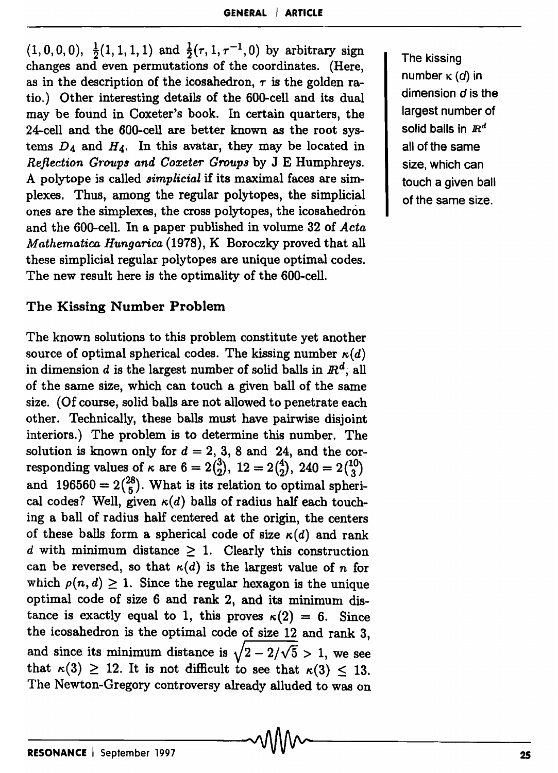$(1,0,0,0), \frac{1}{2}(1,1,1,1)$  and  $\frac{1}{2}(\tau, 1, \tau^{-1}, 0)$  by arbitrary sign changes and even permutations of the coordinates. (Here, as in the description of the icosahedron,  $\tau$  is the golden ratio.) Other interesting details of the 600-cell and its dual may be found in Coxeter's book. In certain quarters, the 24-cell and the 600-cell are better known as the root systems *D4* and *H4.* In this avatar, they may be located in *Reflection Groups and Coxeter Groups* by J E Humphreys. A polytope is called *simplicial* if its maximal faces are simplexes. Thus, among the regular polytopes, the simplicial ones are the simplexes, the cross polytopes, the icosahedron and the 600-cell. In a paper published in volume 32 of *Acta Mathematica Hungarica* (1978), K Boroczky proved that all these simplicial regular polytopes are unique optimal codes. The new result here is the optimality of the 600-cell.

#### The Kissing Number Problem

The known solutions to this problem constitute yet another source of optimal spherical codes. The kissing number  $\kappa(d)$ in dimension d is the largest number of solid balls in  $\mathbb{R}^d$ , all of the same size, which can touch a given ball of the same size. (Of course, solid balls are not allowed to penetrate each other. Technically, these balls must have pairwise disjoint interiors.) The problem is to determine this number. The solution is known only for  $d = 2, 3, 8$  and 24, and the corresponding values of  $\kappa$  are  $6 = 2{3 \choose 2}$ ,  $12 = 2{4 \choose 2}$ ,  $240 = 2{10 \choose 3}$ and 196560 =  $2\binom{28}{5}$ . What is its relation to optimal spherical codes? Well, given  $\kappa(d)$  balls of radius half each touching a ball of radius half centered at the origin, the centers of these balls form a spherical code of size  $\kappa(d)$  and rank d with minimum distance  $\geq 1$ . Clearly this construction can be reversed, so that  $\kappa(d)$  is the largest value of *n* for which  $\rho(n, d) \geq 1$ . Since the regular hexagon is the unique optimal code of size 6 and rank 2, and its minimum distance is exactly equal to 1, this proves  $\kappa(2) = 6$ . Since the icosahedron is the optimal code of size 12 and rank 3, and since its minimum distance is  $\sqrt{2-2/\sqrt{5}} > 1$ , we see that  $\kappa(3) \geq 12$ . It is not difficult to see that  $\kappa(3) \leq 13$ . The Newton-Gregory controversy already alluded to was on The kissing number  $\kappa$  (d) in dimension d is the largest number of solid balls in *IR<sup>d</sup>* all of the same size, which can touch a given ball of the same size.